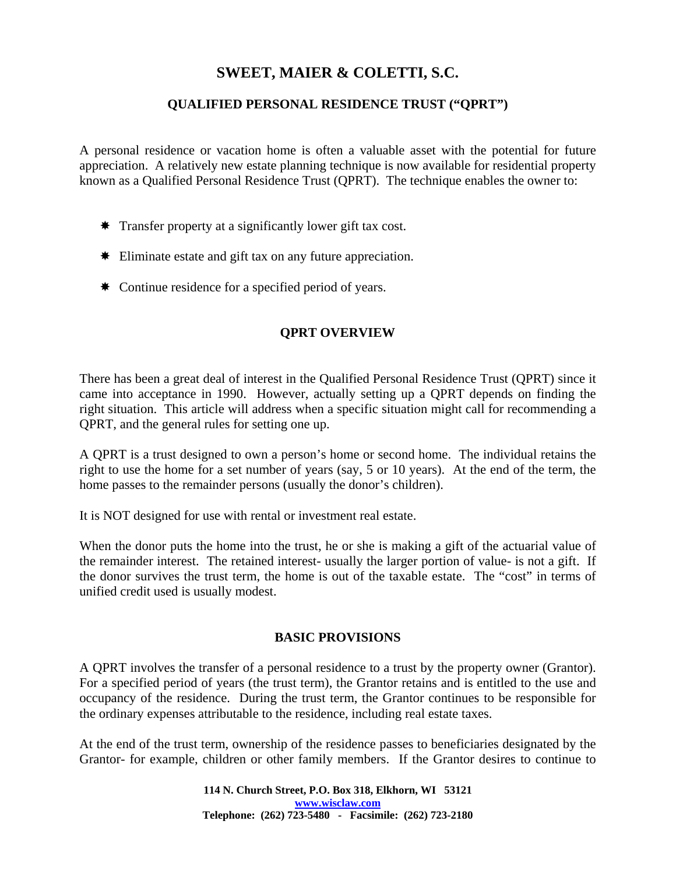# **SWEET, MAIER & COLETTI, S.C.**

## **QUALIFIED PERSONAL RESIDENCE TRUST ("QPRT")**

A personal residence or vacation home is often a valuable asset with the potential for future appreciation. A relatively new estate planning technique is now available for residential property known as a Qualified Personal Residence Trust (QPRT). The technique enables the owner to:

- $\ast$  Transfer property at a significantly lower gift tax cost.
- Eliminate estate and gift tax on any future appreciation.
- \* Continue residence for a specified period of years.

## **QPRT OVERVIEW**

There has been a great deal of interest in the Qualified Personal Residence Trust (QPRT) since it came into acceptance in 1990. However, actually setting up a QPRT depends on finding the right situation. This article will address when a specific situation might call for recommending a QPRT, and the general rules for setting one up.

A QPRT is a trust designed to own a person's home or second home. The individual retains the right to use the home for a set number of years (say, 5 or 10 years). At the end of the term, the home passes to the remainder persons (usually the donor's children).

It is NOT designed for use with rental or investment real estate.

When the donor puts the home into the trust, he or she is making a gift of the actuarial value of the remainder interest. The retained interest- usually the larger portion of value- is not a gift. If the donor survives the trust term, the home is out of the taxable estate. The "cost" in terms of unified credit used is usually modest.

#### **BASIC PROVISIONS**

A QPRT involves the transfer of a personal residence to a trust by the property owner (Grantor). For a specified period of years (the trust term), the Grantor retains and is entitled to the use and occupancy of the residence. During the trust term, the Grantor continues to be responsible for the ordinary expenses attributable to the residence, including real estate taxes.

At the end of the trust term, ownership of the residence passes to beneficiaries designated by the Grantor- for example, children or other family members. If the Grantor desires to continue to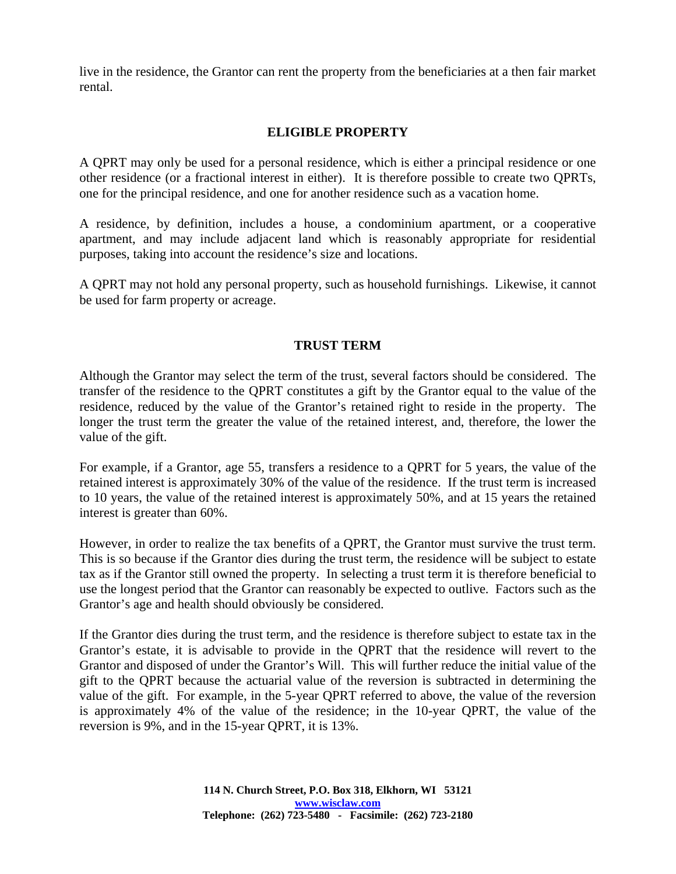live in the residence, the Grantor can rent the property from the beneficiaries at a then fair market rental.

## **ELIGIBLE PROPERTY**

A QPRT may only be used for a personal residence, which is either a principal residence or one other residence (or a fractional interest in either). It is therefore possible to create two QPRTs, one for the principal residence, and one for another residence such as a vacation home.

A residence, by definition, includes a house, a condominium apartment, or a cooperative apartment, and may include adjacent land which is reasonably appropriate for residential purposes, taking into account the residence's size and locations.

A QPRT may not hold any personal property, such as household furnishings. Likewise, it cannot be used for farm property or acreage.

## **TRUST TERM**

Although the Grantor may select the term of the trust, several factors should be considered. The transfer of the residence to the QPRT constitutes a gift by the Grantor equal to the value of the residence, reduced by the value of the Grantor's retained right to reside in the property. The longer the trust term the greater the value of the retained interest, and, therefore, the lower the value of the gift.

For example, if a Grantor, age 55, transfers a residence to a QPRT for 5 years, the value of the retained interest is approximately 30% of the value of the residence. If the trust term is increased to 10 years, the value of the retained interest is approximately 50%, and at 15 years the retained interest is greater than 60%.

However, in order to realize the tax benefits of a QPRT, the Grantor must survive the trust term. This is so because if the Grantor dies during the trust term, the residence will be subject to estate tax as if the Grantor still owned the property. In selecting a trust term it is therefore beneficial to use the longest period that the Grantor can reasonably be expected to outlive. Factors such as the Grantor's age and health should obviously be considered.

If the Grantor dies during the trust term, and the residence is therefore subject to estate tax in the Grantor's estate, it is advisable to provide in the QPRT that the residence will revert to the Grantor and disposed of under the Grantor's Will. This will further reduce the initial value of the gift to the QPRT because the actuarial value of the reversion is subtracted in determining the value of the gift. For example, in the 5-year QPRT referred to above, the value of the reversion is approximately 4% of the value of the residence; in the 10-year QPRT, the value of the reversion is 9%, and in the 15-year QPRT, it is 13%.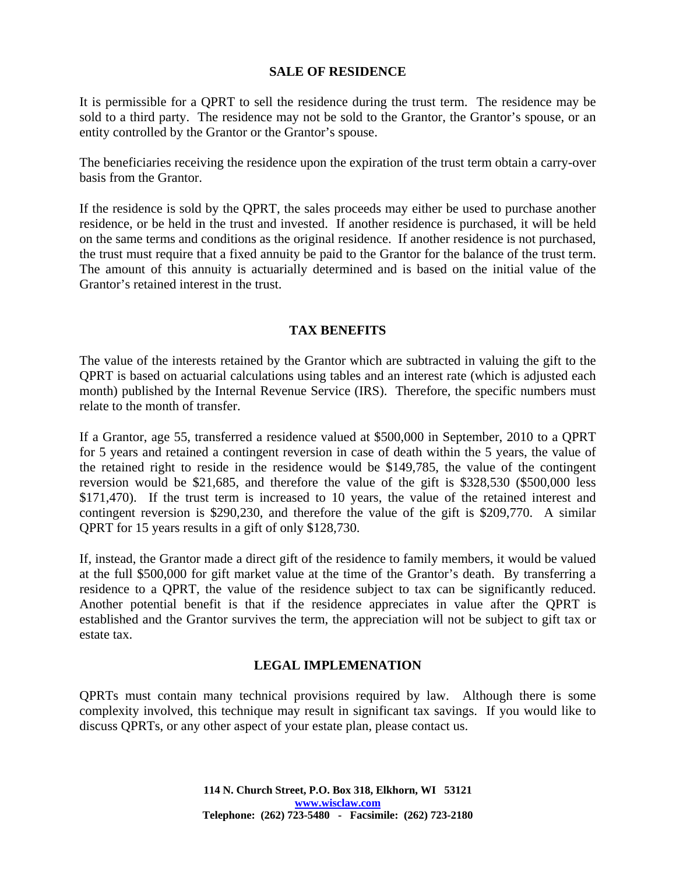#### **SALE OF RESIDENCE**

It is permissible for a QPRT to sell the residence during the trust term. The residence may be sold to a third party. The residence may not be sold to the Grantor, the Grantor's spouse, or an entity controlled by the Grantor or the Grantor's spouse.

The beneficiaries receiving the residence upon the expiration of the trust term obtain a carry-over basis from the Grantor.

If the residence is sold by the QPRT, the sales proceeds may either be used to purchase another residence, or be held in the trust and invested. If another residence is purchased, it will be held on the same terms and conditions as the original residence. If another residence is not purchased, the trust must require that a fixed annuity be paid to the Grantor for the balance of the trust term. The amount of this annuity is actuarially determined and is based on the initial value of the Grantor's retained interest in the trust.

## **TAX BENEFITS**

The value of the interests retained by the Grantor which are subtracted in valuing the gift to the QPRT is based on actuarial calculations using tables and an interest rate (which is adjusted each month) published by the Internal Revenue Service (IRS). Therefore, the specific numbers must relate to the month of transfer.

If a Grantor, age 55, transferred a residence valued at \$500,000 in September, 2010 to a QPRT for 5 years and retained a contingent reversion in case of death within the 5 years, the value of the retained right to reside in the residence would be \$149,785, the value of the contingent reversion would be \$21,685, and therefore the value of the gift is \$328,530 (\$500,000 less \$171,470). If the trust term is increased to 10 years, the value of the retained interest and contingent reversion is \$290,230, and therefore the value of the gift is \$209,770. A similar QPRT for 15 years results in a gift of only \$128,730.

If, instead, the Grantor made a direct gift of the residence to family members, it would be valued at the full \$500,000 for gift market value at the time of the Grantor's death. By transferring a residence to a QPRT, the value of the residence subject to tax can be significantly reduced. Another potential benefit is that if the residence appreciates in value after the QPRT is established and the Grantor survives the term, the appreciation will not be subject to gift tax or estate tax.

# **LEGAL IMPLEMENATION**

QPRTs must contain many technical provisions required by law. Although there is some complexity involved, this technique may result in significant tax savings. If you would like to discuss QPRTs, or any other aspect of your estate plan, please contact us.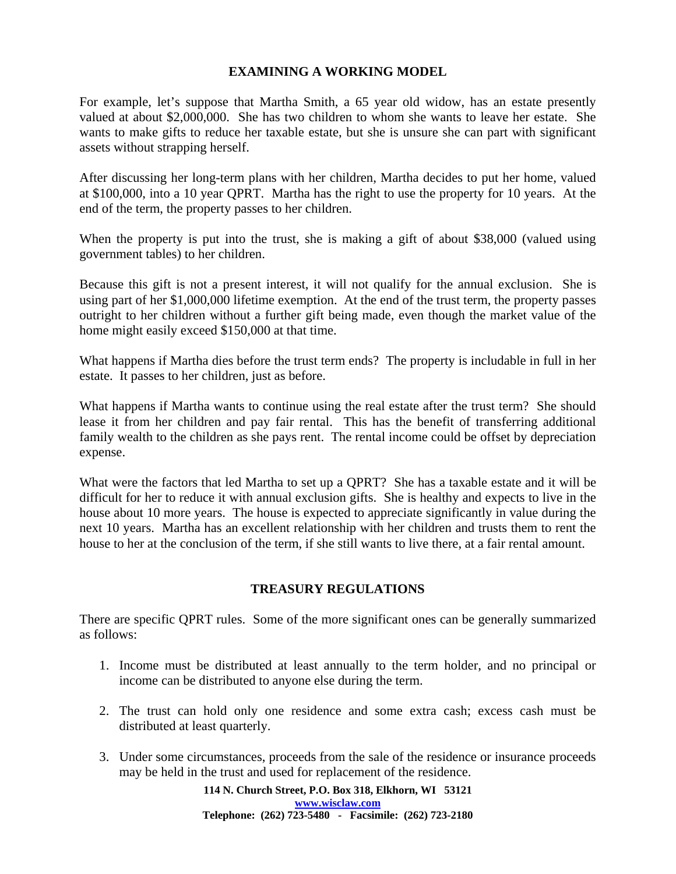#### **EXAMINING A WORKING MODEL**

For example, let's suppose that Martha Smith, a 65 year old widow, has an estate presently valued at about \$2,000,000. She has two children to whom she wants to leave her estate. She wants to make gifts to reduce her taxable estate, but she is unsure she can part with significant assets without strapping herself.

After discussing her long-term plans with her children, Martha decides to put her home, valued at \$100,000, into a 10 year QPRT. Martha has the right to use the property for 10 years. At the end of the term, the property passes to her children.

When the property is put into the trust, she is making a gift of about \$38,000 (valued using government tables) to her children.

Because this gift is not a present interest, it will not qualify for the annual exclusion. She is using part of her \$1,000,000 lifetime exemption. At the end of the trust term, the property passes outright to her children without a further gift being made, even though the market value of the home might easily exceed \$150,000 at that time.

What happens if Martha dies before the trust term ends? The property is includable in full in her estate. It passes to her children, just as before.

What happens if Martha wants to continue using the real estate after the trust term? She should lease it from her children and pay fair rental. This has the benefit of transferring additional family wealth to the children as she pays rent. The rental income could be offset by depreciation expense.

What were the factors that led Martha to set up a QPRT? She has a taxable estate and it will be difficult for her to reduce it with annual exclusion gifts. She is healthy and expects to live in the house about 10 more years. The house is expected to appreciate significantly in value during the next 10 years. Martha has an excellent relationship with her children and trusts them to rent the house to her at the conclusion of the term, if she still wants to live there, at a fair rental amount.

# **TREASURY REGULATIONS**

There are specific QPRT rules. Some of the more significant ones can be generally summarized as follows:

- 1. Income must be distributed at least annually to the term holder, and no principal or income can be distributed to anyone else during the term.
- 2. The trust can hold only one residence and some extra cash; excess cash must be distributed at least quarterly.
- 3. Under some circumstances, proceeds from the sale of the residence or insurance proceeds may be held in the trust and used for replacement of the residence.

**114 N. Church Street, P.O. Box 318, Elkhorn, WI 53121 www.wisclaw.com Telephone: (262) 723-5480 - Facsimile: (262) 723-2180**